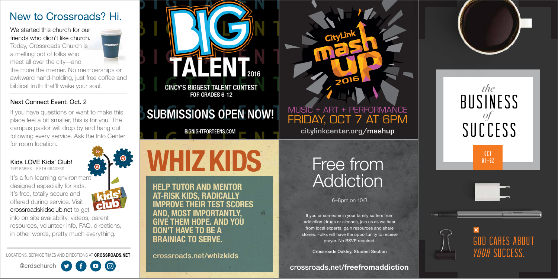# Free from Addiction

6–8pm on 10/3

If you or someone in your family suffers from addiction (drugs or alcohol), join us as we hear from local experts, gain resources and share stories. Folks will have the opportunity to receive prayer. No RSVP required.

Crossroads Oakley, Student Section

OCT  $M-02$ 





**GOD CARES ABOUT** *Your* Success.

crossroads.net/freefromaddiction



HELP TUTOR AND MENTOR AT-RISK KIDS, RADICALLY IMPROVE THEIR TEST SCORES AND, MOST IMPORTANTLY, GIVE THEM HOPE. AND YOU DON'T HAVE TO BE A BRAINIAC TO SERVE.

crossroads.net/whizkids





#### We started this church for our friends who didn't like church.

It's a fun-learning environment designed especially for kids. It's free, totally secure and offered during service. Visit crossroadskidsclub.net to get

Today, Crossroads Church is a melting pot of folks who meet all over the city—and

the more the merrier. No memberships or awkward hand-holding, just free coffee and biblical truth that'll wake your soul.

#### Next Connect Event: Oct. 2

If you have questions or want to make this place feel a bit smaller, this is for you. The campus pastor will drop by and hang out following every service. Ask the Info Center for room location.

#### Kids LOVE Kids' Club!

TINY BABIES – FIFTH GRADERS

info on site availability, videos, parent resources, volunteer info, FAQ, directions, in other words, pretty much everything.

LOCATIONS, SERVICE TIMES AND DIRECTIONS AT CROSSROADS.NET

@crdschurch





**CINCY'S BIGGEST TALENT CONTEST** FOR GRADES 6-12

# **SUBMISSIONS OPEN NOW!**

**BIGNIGHTFORTEENS.COM** 

**WHIZ KIDS** 

## New to Crossroads? Hi.

**citylinkcenter.org/mashup**

## FRIDAY, OCT 7 AT 6PM MUSIC + ART + PERFORMANCE